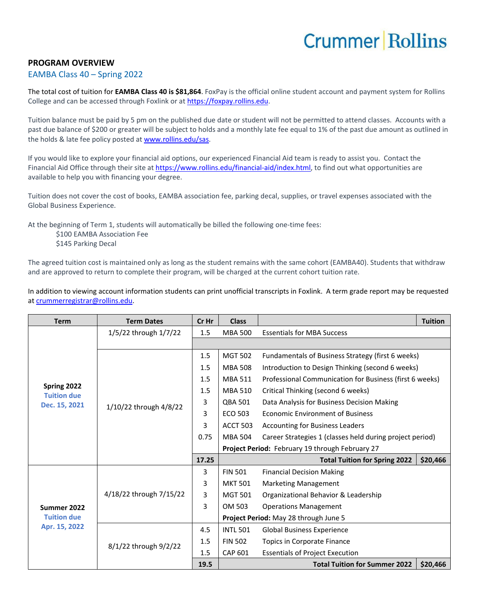## **Crummer Rollins**

## **PROGRAM OVERVIEW**

## EAMBA Class 40 – Spring 2022

The total cost of tuition for **EAMBA Class 40 is \$81,864**. FoxPay is the official online student account and payment system for Rollins College and can be accessed through Foxlink or a[t https://foxpay.rollins.edu.](https://foxpay.rollins.edu/)

Tuition balance must be paid by 5 pm on the published due date or student will not be permitted to attend classes. Accounts with a past due balance of \$200 or greater will be subject to holds and a monthly late fee equal to 1% of the past due amount as outlined in the holds & late fee policy posted at [www.rollins.edu/sas.](http://www.rollins.edu/sas)

If you would like to explore your financial aid options, our experienced Financial Aid team is ready to assist you. Contact the Financial Aid Office through their site at [https://www.rollins.edu/financial-aid/index.html,](https://www.rollins.edu/financial-aid/index.html) to find out what opportunities are available to help you with financing your degree.

Tuition does not cover the cost of books, EAMBA association fee, parking decal, supplies, or travel expenses associated with the Global Business Experience.

At the beginning of Term 1, students will automatically be billed the following one-time fees:

\$100 EAMBA Association Fee \$145 Parking Decal

The agreed tuition cost is maintained only as long as the student remains with the same cohort (EAMBA40). Students that withdraw and are approved to return to complete their program, will be charged at the current cohort tuition rate.

In addition to viewing account information students can print unofficial transcripts in Foxlink. A term grade report may be requested a[t crummerregistrar@rollins.edu.](mailto:crummerregistrar@rollins.edu)

| <b>Term</b>                                        | <b>Term Dates</b>       | Cr Hr | <b>Class</b>    |                                                          | <b>Tuition</b> |  |
|----------------------------------------------------|-------------------------|-------|-----------------|----------------------------------------------------------|----------------|--|
| Spring 2022<br><b>Tuition due</b><br>Dec. 15, 2021 | 1/5/22 through 1/7/22   | 1.5   | <b>MBA 500</b>  | <b>Essentials for MBA Success</b>                        |                |  |
|                                                    |                         |       |                 |                                                          |                |  |
|                                                    | 1/10/22 through 4/8/22  | 1.5   | <b>MGT 502</b>  | Fundamentals of Business Strategy (first 6 weeks)        |                |  |
|                                                    |                         | 1.5   | <b>MBA 508</b>  | Introduction to Design Thinking (second 6 weeks)         |                |  |
|                                                    |                         | 1.5   | <b>MBA 511</b>  | Professional Communication for Business (first 6 weeks)  |                |  |
|                                                    |                         | 1.5   | <b>MBA 510</b>  | Critical Thinking (second 6 weeks)                       |                |  |
|                                                    |                         | 3     | <b>QBA 501</b>  | Data Analysis for Business Decision Making               |                |  |
|                                                    |                         | 3     | ECO 503         | <b>Economic Environment of Business</b>                  |                |  |
|                                                    |                         | 3     | <b>ACCT 503</b> | <b>Accounting for Business Leaders</b>                   |                |  |
|                                                    |                         | 0.75  | <b>MBA 504</b>  | Career Strategies 1 (classes held during project period) |                |  |
|                                                    |                         |       |                 | Project Period: February 19 through February 27          |                |  |
|                                                    |                         | 17.25 |                 | <b>Total Tuition for Spring 2022</b>                     | \$20,466       |  |
| Summer 2022<br><b>Tuition due</b><br>Apr. 15, 2022 | 4/18/22 through 7/15/22 | 3     | <b>FIN 501</b>  | <b>Financial Decision Making</b>                         |                |  |
|                                                    |                         | 3     | <b>MKT 501</b>  | <b>Marketing Management</b>                              |                |  |
|                                                    |                         | 3     | <b>MGT 501</b>  | Organizational Behavior & Leadership                     |                |  |
|                                                    |                         | 3     | OM 503          | <b>Operations Management</b>                             |                |  |
|                                                    |                         |       |                 | Project Period: May 28 through June 5                    |                |  |
|                                                    | 8/1/22 through 9/2/22   | 4.5   | <b>INTL 501</b> | <b>Global Business Experience</b>                        |                |  |
|                                                    |                         | 1.5   | <b>FIN 502</b>  | Topics in Corporate Finance                              |                |  |
|                                                    |                         | 1.5   | <b>CAP 601</b>  | <b>Essentials of Project Execution</b>                   |                |  |
|                                                    |                         | 19.5  |                 | <b>Total Tuition for Summer 2022</b>                     | \$20,466       |  |